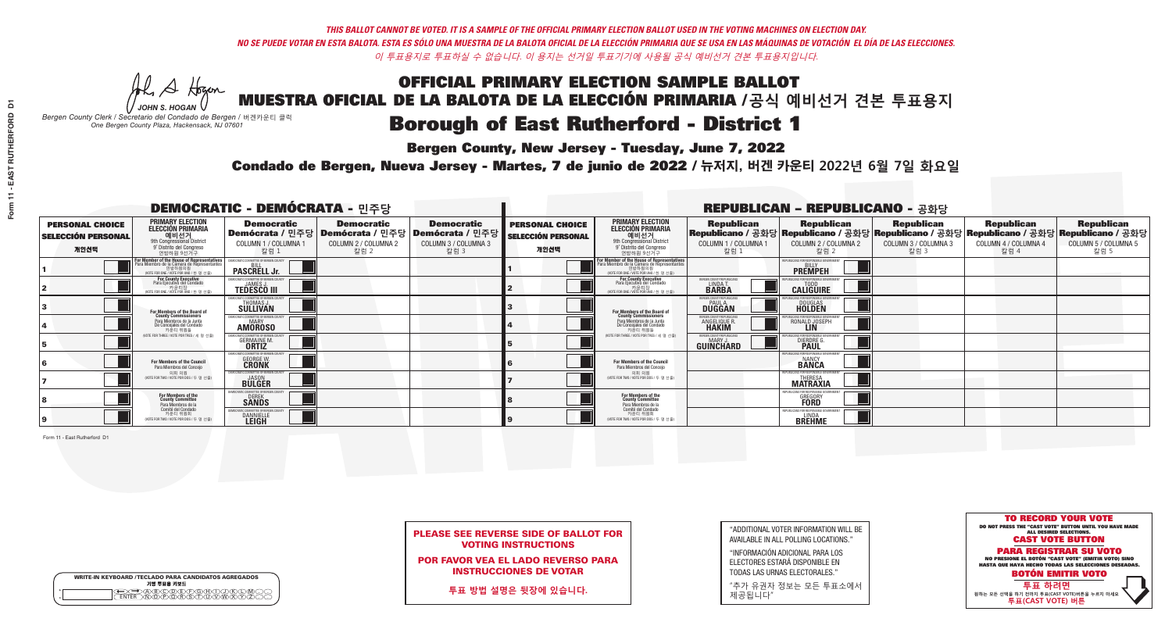## OFFICIAL PRIMARY ELECTION SAMPLE BALLOT MUESTRA OFICIAL DE LA BALOTA DE LA ELECCIÓN PRIMARIA /**공식 예비선거 견본 투표용지 Borough of East Rutherford - District 1**

A Hogen

**Bergen County, New Jersey - Tuesday, June 7, 2022** 

| <b>WRITE-IN KEYBOARD /TECLADO PARA CANDIDATOS AGREGADOS</b><br>기명 투표용 키보드 |  |
|---------------------------------------------------------------------------|--|
| @®©®®®®®™©®<br>™®®®®®®™™®®                                                |  |

*JOHN S. HOGAN Bergen County Clerk / Secretario del Condado de Bergen /* 버겐카운티 클럭 *One Bergen County Plaza, Hackensack, NJ 07601*



PLEASE SEE REVERSE SIDE OF BALLOT FOR VOTING INSTRUCTIONS

POR FAVOR VEA EL LADO REVERSO PARA INSTRUCCIONES DE VOTAR

**투표 방법 설명은 뒷장에 있습니다.**

"ADDITIONAL VOTER INFORMATION WILL BE AVAILABLE IN ALL POLLING LOCATIONS."

"INFORMACIÓN ADICIONAL PARA LOS ELECTORES ESTARÁ DISPONIBLE EN TODAS LAS URNAS ELECTORALES."

"추가 유권자 정보는 모든 투표소에서 제공됩니다"

Condado de Bergen, Nueva Jersey - Martes, 7 de junio de 2022 / 뉴저지, 버겐 카운티 2022년 6월 7일 화요일 *One Bergen County Plaza, Hackensack, NJ 07601*

|                                                             | <b>DEMOCRATIC - DEMÓCRATA - 민주당</b>                                                                                                                         |                                                                         |                                                                                       |                                                                      |                                                             | <b>REPUBLICAN - REPUBLICANO - 공화당</b>                                                                                                         |                                                                      |                                                                                                                                                |                                                   |                                                   |                                                   |
|-------------------------------------------------------------|-------------------------------------------------------------------------------------------------------------------------------------------------------------|-------------------------------------------------------------------------|---------------------------------------------------------------------------------------|----------------------------------------------------------------------|-------------------------------------------------------------|-----------------------------------------------------------------------------------------------------------------------------------------------|----------------------------------------------------------------------|------------------------------------------------------------------------------------------------------------------------------------------------|---------------------------------------------------|---------------------------------------------------|---------------------------------------------------|
| <b>PERSONAL CHOICE</b><br><b>SELECCIÓN PERSONAL</b><br>개인선택 | <b>PRIMARY ELECTION</b><br><b>ELECCIÓN PRIMARIA</b><br>예비선거<br><sup>9th</sup> Congressional District<br>9° Distrito del Congreso<br>연방하원 9선거구               | <b>Democratic</b><br>COLUMN 1 / COLUMNA 1<br>칼럼 1                       | <b>Democratic</b><br>│Demócrata / 민주당│Demócrata / 민주당<br>COLUMN 2 / COLUMNA 2<br>찰럼 2 | <b>Democratic</b><br>Demócrata / 민주당<br>COLUMN 3 / COLUMNA 3<br>칼럼 3 | <b>PERSONAL CHOICE</b><br><b>SELECCIÓN PERSONAL</b><br>개인선택 | <b>PRIMARY ELECTION</b><br>ELECCIÓN PRIMARIA<br>9th Congressional District<br>9° Distrito del Congreso<br>연방하원 9선거구                           | <b>Republican</b><br>COLUMN 1 / COLUMNA 1<br>칼럼 1                    | <b>Republican</b><br>Republicano / 공화당 Republicano / 공화당 Republicano / 공화당 Republicano / 공화당 Republicano / 공화당<br>COLUMN 2 / COLUMNA 2<br>칼럼 2 | <b>Republican</b><br>COLUMN 3 / COLUMNA 3<br>칼럼 3 | <b>Republican</b><br>COLUMN 4 / COLUMNA 4<br>칼럼 4 | <b>Republican</b><br>COLUMN 5 / COLUMNA 5<br>칼럼 5 |
|                                                             | F <mark>or Member of the House of Representatives</mark><br>Para Miembro de la Cámara de Representantes<br>연방하원의원<br>(VOTE FOR ONE / VOTE POR UNO / 한 명 선출) | EMOCRATIC COMMITTEE OF BERGEN COUNTY<br><b>PASCRELL Jr.</b>             |                                                                                       |                                                                      |                                                             | For Member of the House of Representatives<br>Para Miembro de la Cámara de Representantes<br>연방하원의원<br>(VOTE FOR ONE / VOTE POR UNO / 한 명 선출) |                                                                      | PUBLICANS FOR RESPONSIBLE GOVERNME!<br><b>PREMPEH</b>                                                                                          |                                                   |                                                   |                                                   |
|                                                             | For County Executive<br>Para Ejecutivo del Condado                                                                                                          | EMOCRATIC COMMITTEE OF BERGEN COUNTY<br><b>TEDESCO III</b>              |                                                                                       |                                                                      |                                                             | For County Executive<br>Para Ejecutivo del Condado<br>7 카운티장<br>(VOTE FOR ONE / VOTE POR UNO / 한 명 선출)                                        | BERGEN COUNTY REPUBLICAN<br>LINDA T.<br><b>BARBA</b>                 | <b>CALIGUIRE</b>                                                                                                                               |                                                   |                                                   |                                                   |
|                                                             | For Members of the Board of<br>County Commissioners                                                                                                         | MOCRATIC COMMITTEE OF BERGEN COUNTY<br>THOMAS J.<br>SÜLLIVAN            |                                                                                       |                                                                      |                                                             | For Members of the Board of<br>County Commissioners                                                                                           | ERGEN COUNTY REPUBLICAN<br><b>PAUL A.</b><br><b>DUGGAN</b>           | <b>DOUGLAS</b><br><b>HOLDEN</b>                                                                                                                |                                                   |                                                   |                                                   |
|                                                             | Para Miembros de la Junta<br>De Concejales del Condado<br>카운티 위원들                                                                                           | MOCRATIC COMMITTEE OF BERGEN COUNTY<br><b>MARY</b><br><b>AMOROSO</b>    |                                                                                       |                                                                      |                                                             | Para Miembros de la Junta<br>De Concejales del Condado<br>카운티 위원들                                                                             | <b>RGEN COUNTY REPUBLICAN:</b><br><b>ANGELIQUE R</b><br><b>HAKIM</b> | RONALD JOSEPH<br><b>LIN</b>                                                                                                                    |                                                   |                                                   |                                                   |
|                                                             | NOTE FOR THREE / VOTE POR TRES / 세 명 선출)                                                                                                                    | AOCRATIC COMMITTEE OF BERGEN COUN<br><b>GERMAINE M.</b><br><b>ORTIZ</b> |                                                                                       |                                                                      |                                                             | NOTE FOR THREE / VOTE POR TRES / 세 명 선출                                                                                                       | ERGEN COUNTY REPUBLICANS<br>MARY.<br>GUINCHARD                       | FNR RESPNNSIRI E 1<br><b>DIERDRE L</b>                                                                                                         |                                                   |                                                   |                                                   |
|                                                             | <b>For Members of the Council</b><br>Para Miembros del Conceio                                                                                              | FMOCRATIC COMMITTEE OF BERGEN C<br><b>GEORGE W.</b>                     |                                                                                       |                                                                      |                                                             | For Members of the Council<br>Para Miembros del Concejo                                                                                       |                                                                      | <b>BANCA</b>                                                                                                                                   |                                                   |                                                   |                                                   |
|                                                             | 의회 의원<br>NOTE FOR TWO / VOTE POR DOS / 두 명 선출)                                                                                                              | <b>EMOCRATIC COMMITTEE OF BEBGEN COUNT</b><br><b>BULGER</b>             |                                                                                       |                                                                      |                                                             | 의회 의원<br>NOTE FOR TWO / VOTE POR DOS / 두 명 선출)                                                                                                |                                                                      | PUBLICANS FOR RESPONSIBLE (<br><b>MATRAXIA</b>                                                                                                 |                                                   |                                                   |                                                   |
|                                                             | For Members of the<br>County Committee<br>Para Miembros de la<br>Comité del Condado                                                                         | <b>SANDS</b>                                                            |                                                                                       |                                                                      |                                                             | For Members of the<br>County Committee<br>Para Miembros de la<br>Comité del Condado                                                           |                                                                      | <b>GREGORY</b>                                                                                                                                 |                                                   |                                                   |                                                   |
|                                                             | 카운티 위원회<br>(VOTE FOR TWO / VOTE POR DOS / 두 명 선출)                                                                                                           | MOCRATIC COMMITTEE OF BERGEN<br><b>DANNIELLE</b>                        |                                                                                       |                                                                      |                                                             | 카운티 위원회<br>(VOTE FOR TWO / VOTE POR DOS / 두 명 선출)                                                                                             |                                                                      | EPUBLICANS FOR RESPONSIBLE GO<br><b>BREHME</b>                                                                                                 |                                                   |                                                   |                                                   |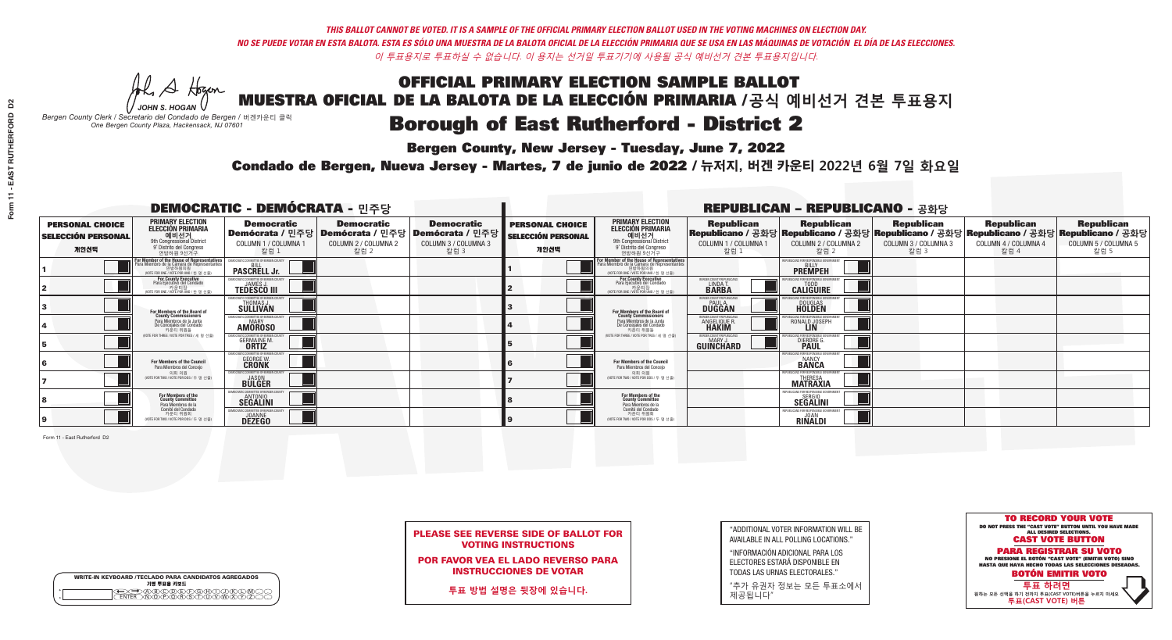A Hogen *JOHN S. HOGAN*

| <b>WRITE-IN KEYBOARD /TECLADO PARA CANDIDATOS AGREGADOS</b><br>기명 투표용 키보드 |  |
|---------------------------------------------------------------------------|--|
| ABCDDECRGA<br><u> ቅለሽነጅለች</u>                                             |  |

# OFFICIAL PRIMARY ELECTION SAMPLE BALLOT

MUESTRA OFICIAL DE LA BALOTA DE LA ELECCIÓN PRIMARIA /**공식 예비선거 견본 투표용지** *Bergen County Clerk / Secretario del Condado de Bergen /* 버겐카운티 클럭

**Borough of East Rutherford - District 2** 

**Bergen County, New Jersey - Tuesday, June 7, 2022** 

*One Bergen County Plaza, Hackensack, NJ 07601*



PLEASE SEE REVERSE SIDE OF BALLOT FOR VOTING INSTRUCTIONS

POR FAVOR VEA EL LADO REVERSO PARA INSTRUCCIONES DE VOTAR

**투표 방법 설명은 뒷장에 있습니다.**

"ADDITIONAL VOTER INFORMATION WILL BE AVAILABLE IN ALL POLLING LOCATIONS."

"INFORMACIÓN ADICIONAL PARA LOS ELECTORES ESTARÁ DISPONIBLE EN TODAS LAS URNAS ELECTORALES."

"추가 유권자 정보는 모든 투표소에서 제공됩니다"

Condado de Bergen, Nueva Jersey - Martes, 7 de junio de 2022 / 뉴저지, 버겐 카운티 2022년 6월 7일 화요일 *One Bergen County Plaza, Hackensack, NJ 07601*

| <b>DEMOCRATIC - DEMÓCRATA - 민주당</b>                         |                                                                                                                                             |                                                                             |                                                   |                                                                                                        |                                                             |                                                                                                                                               |                                                           | <b>REPUBLICAN - REPUBLICANO - 공화당</b>                                                                                                          |                                                   |                                                   |                                                   |
|-------------------------------------------------------------|---------------------------------------------------------------------------------------------------------------------------------------------|-----------------------------------------------------------------------------|---------------------------------------------------|--------------------------------------------------------------------------------------------------------|-------------------------------------------------------------|-----------------------------------------------------------------------------------------------------------------------------------------------|-----------------------------------------------------------|------------------------------------------------------------------------------------------------------------------------------------------------|---------------------------------------------------|---------------------------------------------------|---------------------------------------------------|
| <b>PERSONAL CHOICE</b><br><b>SELECCIÓN PERSONAL</b><br>개인선택 | <b>PRIMARY ELECTION</b><br><b>ELECCIÓN PRIMARIA</b><br>예비선거<br>애비선거<br>9° Distrito del Congreso<br>연방하원 9선거구                                | <b>Democratic</b><br>COLUMN 1 / COLUMNA 1<br>칼럼 :                           | <b>Democratic</b><br>COLUMN 2 / COLUMNA 2<br>칼럼 2 | <b>Democratic</b><br>│Demócrata / 민주당│Demócrata / 민주당│Demócrata / 민주당┃<br>COLUMN 3 / COLUMNA 3<br>칼럼 3 | <b>PERSONAL CHOICE</b><br><b>SELECCIÓN PERSONAL</b><br>개인선택 | <b>PRIMARY ELECTION</b><br>ELECCIÓN PRIMARIA<br>예비선거<br>9th Congressional District<br>9° Distrito del Congreso<br>연방하원 9선거구                   | <b>Republican</b><br>COLUMN 1 / COLUMNA 1<br>■칼럼 1        | <b>Republican</b><br>Republicano / 공화당 Republicano / 공화당 Republicano / 공화당 Republicano / 공화당 Republicano / 공화당<br>COLUMN 2 / COLUMNA 2<br>칼럼 2 | <b>Republican</b><br>COLUMN 3 / COLUMNA 3<br>칼럼 3 | <b>Republican</b><br>COLUMN 4 / COLUMNA 4<br>칼럼 4 | <b>Republican</b><br>COLUMN 5 / COLUMNA 5<br>칼럼 5 |
|                                                             | or Member of the House of Representatives<br>ara Miembro de la Cámara de Representantes<br>연방하원의원<br>(VOTE FOR ONE / VOTE POR UNO / 한 명 선출) | <b>PASCRELL Jr.</b>                                                         |                                                   |                                                                                                        |                                                             | For Member of the House of Representatives<br>Para Miembro de la Cámara de Representantes<br>연방하원의원<br>(VOTE FOR ONE / VOTE POR UNO / 한 명 선출) |                                                           | PUBLICANS FOR RESPONSIBLE GOVERNI<br><b>PREMPEH</b>                                                                                            |                                                   |                                                   |                                                   |
|                                                             | For County Executive<br>Para Ejecutivo del Condado<br>기운티장<br>(VOTE FOR ONE / VOTE POR UNO / 한 명 선출)                                        | <b>EMOCRATIC COMMITTEE OF BERGEN COUNTY</b><br><b>TEDESCO III</b>           |                                                   |                                                                                                        |                                                             | For County Executive<br>Para Ejecutivo del Condado<br>7) 카운티장<br>(VOTE FOR ONE / VOTE POR UNO / 한 명 선출)                                       | BERGEN COUNTY REPUBLICAN<br><b>LINDAT</b><br><b>BARBA</b> | <b>CALIGUIRE</b>                                                                                                                               |                                                   |                                                   |                                                   |
|                                                             | <b>For Members of the Board of<br/>County Commissioners</b>                                                                                 | )CRATIC COMMITTEE OF BERGEN CI<br>THOMAS J.                                 |                                                   |                                                                                                        |                                                             | For Members of the Board of<br>County Commissioners                                                                                           | ERGEN COUNTY REPUBLICA<br><b>PAUL A.</b><br><b>DUGGAN</b> | <b>DOUGLAS</b>                                                                                                                                 |                                                   |                                                   |                                                   |
|                                                             | Para Miembros de la Junta<br>De Concejales del Condado<br>카우티 위원들                                                                           | MOCRATIC COMMITTEE OF BERGEN COUNT<br><b>MARY</b><br><b>AMOROSO</b>         |                                                   |                                                                                                        |                                                             | Para Miembros de la Junta<br>De Concejales del Condado<br>카우티 위원들                                                                             | <b>FRGEN COUNTY REPUBLICAN</b><br><b>ANGELIQUE F</b>      | IS ENR RESPONSIRI E GOVERN<br>RONALD JOSEPH                                                                                                    |                                                   |                                                   |                                                   |
|                                                             | (VOTE FOR THREE / VOTE POR TRES / 세 명 선출)                                                                                                   | ATIC COMMITTEE OF BERGEN CI<br><b>GERMAINE M</b><br><b>ORTIZ</b>            |                                                   |                                                                                                        |                                                             | NOTE FOR THREE / VOTE POR TRES / 세 명 선출)                                                                                                      | <b>FRGEN COUNTY REPUBLICANS</b><br>MARY J<br>GUINCHARD    | <b>DIERDRE</b>                                                                                                                                 |                                                   |                                                   |                                                   |
|                                                             | <b>For Members of the Council</b><br>Para Miembros del Conceio                                                                              | MOCRATIC COMMITTEE OF BERGEN (<br><b>GEORGE W.</b>                          |                                                   |                                                                                                        |                                                             | <b>For Members of the Council</b><br>Para Miembros del Conceio                                                                                |                                                           | <b>BANCY</b>                                                                                                                                   |                                                   |                                                   |                                                   |
|                                                             | 의회 의원<br>(VOTE FOR TWO / VOTE POR DOS / 두 명 선출)                                                                                             | MOCRATIC COMMITTEE OF BERGEN C<br><b>BULGER</b>                             |                                                   |                                                                                                        |                                                             | 의회 의원<br>NOTE FOR TWO / VOTE POR DOS / 두 명 선출)                                                                                                |                                                           | <b>MATRAXIA</b>                                                                                                                                |                                                   |                                                   |                                                   |
|                                                             | For Members of the<br>County Committee<br>Para Miembros de la                                                                               | <b>SEGALINI</b>                                                             |                                                   |                                                                                                        |                                                             | For Members of the<br>County Committee<br>Para Miembros de la<br>Comité del Condado                                                           |                                                           | PUBLICANS FOR RESPONSIBLE (<br>SEGALINI                                                                                                        |                                                   |                                                   |                                                   |
|                                                             | Comité del Condado<br>카운티 위원회<br>(VOTE FOR TWO / VOTE POR DOS / 두 명 선출)                                                                     | <b>MOCRATIC COMMITTEE OF BERGEN COUNT</b><br><b>JOANNE</b><br><b>DEZEGO</b> |                                                   |                                                                                                        |                                                             | 카운티 위원회<br>NOTE FOR TWO / VOTE POR DOS / 두 명 선출)                                                                                              |                                                           | PUBLICANS FOR RESPONSIBLE G<br><b>RINALDI</b>                                                                                                  |                                                   |                                                   |                                                   |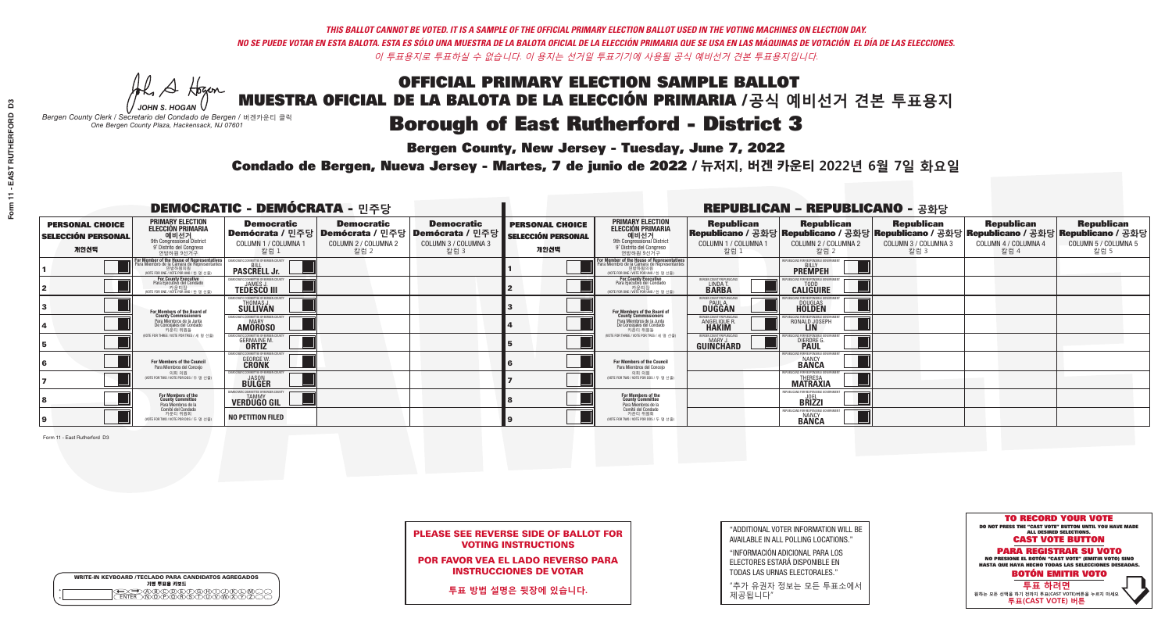## OFFICIAL PRIMARY ELECTION SAMPLE BALLOT MUESTRA OFICIAL DE LA BALOTA DE LA ELECCIÓN PRIMARIA /**공식 예비선거 견본 투표용지 Borough of East Rutherford - District 3**

A Hogen

**Bergen County, New Jersey - Tuesday, June 7, 2022** 

| <b>WRITE-IN KEYBOARD /TECLADO PARA CANDIDATOS AGREGADOS</b><br>기명 투표용 키보드 |  |
|---------------------------------------------------------------------------|--|
| E A BOO DE DO BODO KI<br>MA BA BA SA MWA XI                               |  |

*JOHN S. HOGAN Bergen County Clerk / Secretario del Condado de Bergen /* 버겐카운티 클럭 *One Bergen County Plaza, Hackensack, NJ 07601*



PLEASE SEE REVERSE SIDE OF BALLOT FOR VOTING INSTRUCTIONS

POR FAVOR VEA EL LADO REVERSO PARA INSTRUCCIONES DE VOTAR

**투표 방법 설명은 뒷장에 있습니다.**

"ADDITIONAL VOTER INFORMATION WILL BE AVAILABLE IN ALL POLLING LOCATIONS."

"INFORMACIÓN ADICIONAL PARA LOS ELECTORES ESTARÁ DISPONIBLE EN TODAS LAS URNAS ELECTORALES."

"추가 유권자 정보는 모든 투표소에서 제공됩니다"

Condado de Bergen, Nueva Jersey - Martes, 7 de junio de 2022 / 뉴저지, 버겐 카운티 2022년 6월 7일 화요일 *One Bergen County Plaza, Hackensack, NJ 07601*

| <b>DEMOCRATIC - DEMÓCRATA - 민주당</b>                         |                                                                                                                                               |                                                                          |                                                   |                                                                                                        |                                                             |                                                                                                                                   |                                                           | <b>REPUBLICAN - REPUBLICANO - 공화당</b>                                                                                                          |                                                   |                                                   |                                                   |
|-------------------------------------------------------------|-----------------------------------------------------------------------------------------------------------------------------------------------|--------------------------------------------------------------------------|---------------------------------------------------|--------------------------------------------------------------------------------------------------------|-------------------------------------------------------------|-----------------------------------------------------------------------------------------------------------------------------------|-----------------------------------------------------------|------------------------------------------------------------------------------------------------------------------------------------------------|---------------------------------------------------|---------------------------------------------------|---------------------------------------------------|
| <b>PERSONAL CHOICE</b><br><b>SELECCIÓN PERSONAL</b><br>개인선택 | <b>PRIMARY ELECTION</b><br><b>ELECCIÓN PRIMARIA</b><br>예비선거<br><sup>9th</sup> Congressional District<br>9° Distrito del Congreso<br>연방하원 9선거구 | <b>Democratic</b><br>COLUMN 1 / COLUMNA 1<br>칼럼 :                        | <b>Democratic</b><br>COLUMN 2 / COLUMNA 2<br>칼럼 2 | <b>Democratic</b><br>│Demócrata / 민주당│Demócrata / 민주당│Demócrata / 민주당┃<br>COLUMN 3 / COLUMNA 3<br>칼럼 3 | <b>PERSONAL CHOICE</b><br><b>SELECCIÓN PERSONAL</b><br>개인선택 | <b>PRIMARY ELECTION</b><br>ELECCIÓN PRIMARIA<br>예비선거<br>9th Congressional District<br>9° Distrito del Congreso<br>연방하원 9선거구       | <b>Republican</b><br>COLUMN 1 / COLUMNA 1<br>칼럼 1         | <b>Republican</b><br>Republicano / 공화당 Republicano / 공화당 Republicano / 공화당 Republicano / 공화당 Republicano / 공화당<br>COLUMN 2 / COLUMNA 2<br>칼럼 2 | <b>Republican</b><br>COLUMN 3 / COLUMNA 3<br>칼럼 3 | <b>Republican</b><br>COLUMN 4 / COLUMNA 4<br>칼럼 4 | <b>Republican</b><br>COLUMN 5 / COLUMNA 5<br>칼럼 5 |
|                                                             | or Member of the House of Representatives<br>ara Miembro de la Cámara de Representantes<br>연방하원의원<br>(VOTE FOR ONE / VOTE POR UNO / 한 명 선출)   | <b>PASCRELL Jr.</b>                                                      |                                                   |                                                                                                        |                                                             | For Member of the House of Representatives<br>Para Miembro de la Cámara de Representantes<br>WOTE FOR ONE / VOTE POR UNO / 한 명 선출 |                                                           | PUBLICANS FOR RESPONSIBLE GOVERNI<br><b>PREMPEH</b>                                                                                            |                                                   |                                                   |                                                   |
|                                                             | For County Executive<br>Para Ejecutivo del Condado<br>가운티장<br>(VOTE FOR ONE / VOTE POR UNO / 한 명 선출)                                          | DEMOCRATIC COMMITTEE OF BERGEN COUNTY<br><b>TEDESCO III</b>              |                                                   |                                                                                                        |                                                             | For County Executive<br>Para Ejecutivo del Condado<br>카운티장<br>(WOTE FOR ONE / VOTE POR UNO / 한 명 선출)                              | BERGEN COUNTY REPUBLICA<br><b>I INDAT</b><br><b>BARBA</b> | <b>CALIGUIRE</b>                                                                                                                               |                                                   |                                                   |                                                   |
|                                                             | <b>For Members of the Board of<br/>County Commissioners</b>                                                                                   | <b><i>MOCRATIC COMMITTEE OF BERGEN COUNT</i></b><br>THOMAS J.            |                                                   |                                                                                                        |                                                             | For Members of the Board of<br>County Commissioners                                                                               | ERGEN COUNTY REPUBLICAN<br>PAUL A.<br><b>DUGGAN</b>       | <b>DOUGLAS</b>                                                                                                                                 |                                                   |                                                   |                                                   |
|                                                             | Para Miembros de la Junta<br>De Concejales del Condado<br>카우티 위원들                                                                             | <b>CRATIC COMMITTEE OF BERGEN COUNT</b><br><b>MARY</b><br><b>AMOROSO</b> |                                                   |                                                                                                        |                                                             | Para Miembros de la Junta<br>De Concejales del Condado<br>카우티 위원들                                                                 | RGEN COUNTY REPUBLICAN<br><b>ANGELIQUE R</b>              | RONALD JOSEPH                                                                                                                                  |                                                   |                                                   |                                                   |
|                                                             | NOTE FOR THREE / VOTE POR TRES / 세 명 선축)                                                                                                      | ATIC COMMITTEE OF BERGEN COI<br><b>GERMAINE M.</b>                       |                                                   |                                                                                                        |                                                             | (VOTE FOR THREE / VOTE POR TRES / 세 명 선출)                                                                                         | ERGEN COUNTY REPUBLICANS<br>MARY J<br>GUINCHARD           | FNR RESPNNSIRI E 1<br><b>DIERDRE</b>                                                                                                           |                                                   |                                                   |                                                   |
|                                                             | For Members of the Council<br>Para Miembros del Conceio                                                                                       | MOCRATIC COMMITTEE OF BERGEN COUNTY<br><b>GEORGE W.</b>                  |                                                   |                                                                                                        |                                                             | For Members of the Council<br>Para Miembros del Concejo                                                                           |                                                           | S ENR RESPANSIRI E<br><b>BANCY</b><br><b>BANCA</b>                                                                                             |                                                   |                                                   |                                                   |
|                                                             | 의회 의원<br>(VOTE FOR TWO / VOTE POR DOS / 두 명 선출)                                                                                               | CRATIC COMMITTEE OF BEBGEN COUNTY<br><b>BULGER</b>                       |                                                   |                                                                                                        |                                                             | 의회 의원<br>NOTE FOR TWO / VOTE POR DOS / 두 명 선출)                                                                                    |                                                           | PUBLICANS FOR RESPONSIBLE (<br><b>MATRAXIA</b>                                                                                                 |                                                   |                                                   |                                                   |
|                                                             | For Members of the<br>County Committee<br>Para Miembros de la<br>Comité del Condado                                                           | <b>TAMMY</b><br><b>VERDÜGO GIL</b>                                       |                                                   |                                                                                                        |                                                             | For Members of the<br>County Committee<br>Para Miembros de la<br>Comité del Condado                                               |                                                           | <b>BRIZZI</b>                                                                                                                                  |                                                   |                                                   |                                                   |
|                                                             | 카운티 위원회<br>NOTE FOR TWO / VOTE POR DOS / 두 명 선출)                                                                                              | <b>NO PETITION FILED</b>                                                 |                                                   |                                                                                                        |                                                             | 카운티 위원회<br>(VOTE FOR TWO / VOTE POR DOS / 두 명 선출)                                                                                 |                                                           | EPUBLICANS FOR RESPONSIBLE G<br><b>BANCY</b><br><b>BANCA</b>                                                                                   |                                                   |                                                   |                                                   |